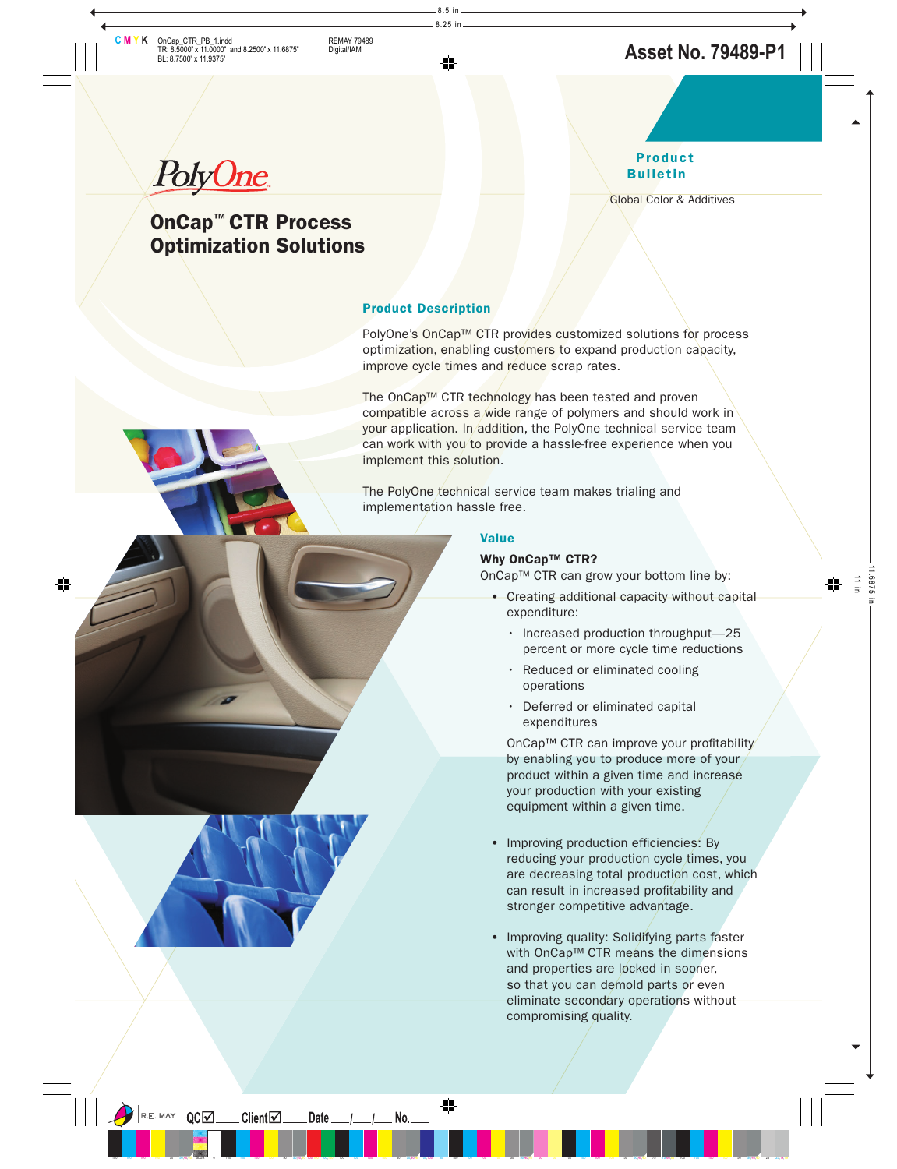PolyOne

# **OnCap™ CTR Process Optimization Solutions**

# **Product Bulletin**

Global Color & Additives

## **Product Description**

PolyOne's OnCap™ CTR provides customized solutions for process optimization, enabling customers to expand production capacity, improve cycle times and reduce scrap rates.

The OnCap™ CTR technology has been tested and proven compatible across a wide range of polymers and should work in your application. In addition, the PolyOne technical service team can work with you to provide a hassle-free experience when you implement this solution.

The PolyOne technical service team makes trialing and implementation hassle free.

## **Value**

## **Why OnCap™ CTR?**

OnCap™ CTR can grow your bottom line by:

- **•** Creating additional capacity without capital expenditure:
	- Increased production throughput—25 percent or more cycle time reductions
	- Reduced or eliminated cooling operations
	- Deferred or eliminated capital expenditures

OnCap™ CTR can improve your profitability by enabling you to produce more of your product within a given time and increase your production with your existing equipment within a given time.

- Improving production efficiencies: By reducing your production cycle times, you are decreasing total production cost, which can result in increased profitability and stronger competitive advantage.
- **•** Improving quality: Solidifying parts faster with OnCap™ CTR means the dimensions and properties are locked in sooner, so that you can demold parts or even eliminate secondary operations without compromising quality.